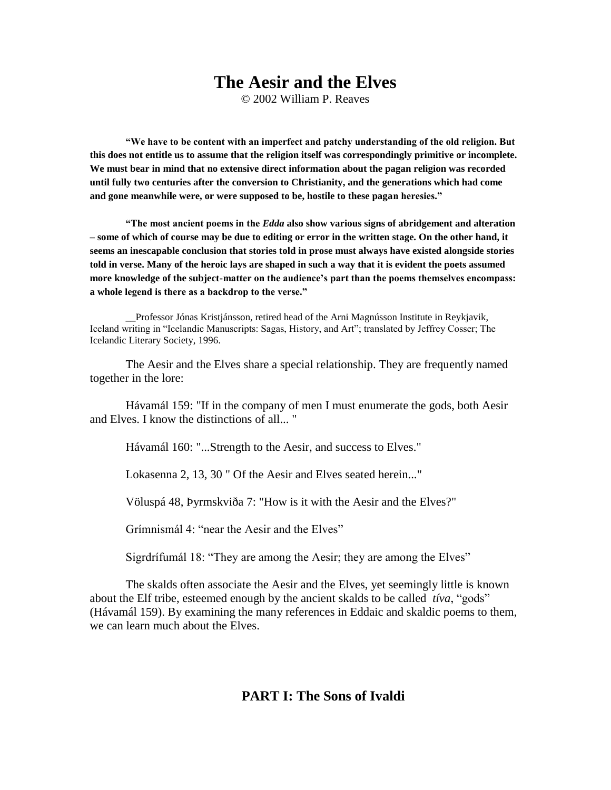## **The Aesir and the Elves**

© 2002 William P. Reaves

**"We have to be content with an imperfect and patchy understanding of the old religion. But this does not entitle us to assume that the religion itself was correspondingly primitive or incomplete. We must bear in mind that no extensive direct information about the pagan religion was recorded until fully two centuries after the conversion to Christianity, and the generations which had come and gone meanwhile were, or were supposed to be, hostile to these pagan heresies."**

**"The most ancient poems in the** *Edda* **also show various signs of abridgement and alteration – some of which of course may be due to editing or error in the written stage. On the other hand, it seems an inescapable conclusion that stories told in prose must always have existed alongside stories told in verse. Many of the heroic lays are shaped in such a way that it is evident the poets assumed more knowledge of the subject-matter on the audience's part than the poems themselves encompass: a whole legend is there as a backdrop to the verse."** 

\_\_Professor Jónas Kristjánsson, retired head of the Arni Magnússon Institute in Reykjavik, Iceland writing in "Icelandic Manuscripts: Sagas, History, and Art"; translated by Jeffrey Cosser; The Icelandic Literary Society, 1996.

The Aesir and the Elves share a special relationship. They are frequently named together in the lore:

Hávamál 159: "If in the company of men I must enumerate the gods, both Aesir and Elves. I know the distinctions of all... "

Hávamál 160: "...Strength to the Aesir, and success to Elves."

Lokasenna 2, 13, 30 " Of the Aesir and Elves seated herein..."

Völuspá 48, Þyrmskviða 7: "How is it with the Aesir and the Elves?"

Grímnismál 4<sup>.</sup> "near the Aesir and the Elves"

Sigrdrífumál 18: "They are among the Aesir; they are among the Elves"

The skalds often associate the Aesir and the Elves, yet seemingly little is known about the Elf tribe, esteemed enough by the ancient skalds to be called *tiva*, "gods" (Hávamál 159). By examining the many references in Eddaic and skaldic poems to them, we can learn much about the Elves.

**PART I: The Sons of Ivaldi**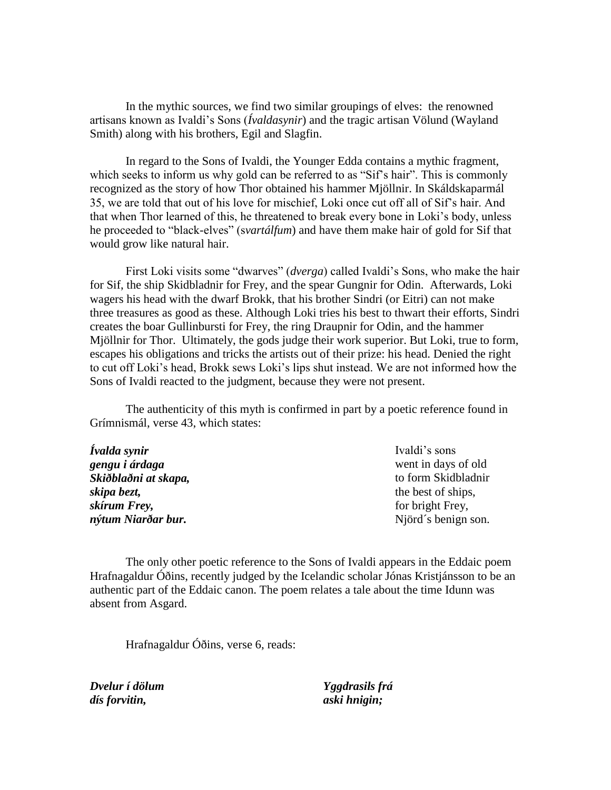In the mythic sources, we find two similar groupings of elves: the renowned artisans known as Ivaldi's Sons (*Ívaldasynir*) and the tragic artisan Völund (Wayland Smith) along with his brothers, Egil and Slagfin.

In regard to the Sons of Ivaldi, the Younger Edda contains a mythic fragment, which seeks to inform us why gold can be referred to as "Sif's hair". This is commonly recognized as the story of how Thor obtained his hammer Mjöllnir. In Skáldskaparmál 35, we are told that out of his love for mischief, Loki once cut off all of Sif's hair. And that when Thor learned of this, he threatened to break every bone in Loki's body, unless he proceeded to "black-elves" (svartálfum) and have them make hair of gold for Sif that would grow like natural hair.

First Loki visits some "dwarves" (*dverga*) called Ivaldi's Sons, who make the hair for Sif, the ship Skidbladnir for Frey, and the spear Gungnir for Odin. Afterwards, Loki wagers his head with the dwarf Brokk, that his brother Sindri (or Eitri) can not make three treasures as good as these. Although Loki tries his best to thwart their efforts, Sindri creates the boar Gullinbursti for Frey, the ring Draupnir for Odin, and the hammer Mjöllnir for Thor. Ultimately, the gods judge their work superior. But Loki, true to form, escapes his obligations and tricks the artists out of their prize: his head. Denied the right to cut off Loki's head, Brokk sews Loki's lips shut instead. We are not informed how the Sons of Ivaldi reacted to the judgment, because they were not present.

The authenticity of this myth is confirmed in part by a poetic reference found in Grímnismál, verse 43, which states:

| Ivaldi's sons       |
|---------------------|
| went in days of old |
| to form Skidbladnir |
| the best of ships,  |
| for bright Frey,    |
| Njörd's benign son. |
|                     |

The only other poetic reference to the Sons of Ivaldi appears in the Eddaic poem Hrafnagaldur Óðins, recently judged by the Icelandic scholar Jónas Kristjánsson to be an authentic part of the Eddaic canon. The poem relates a tale about the time Idunn was absent from Asgard.

Hrafnagaldur Óðins, verse 6, reads:

*Dvelur í dölum dís forvitin,*

*Yggdrasils frá aski hnigin;*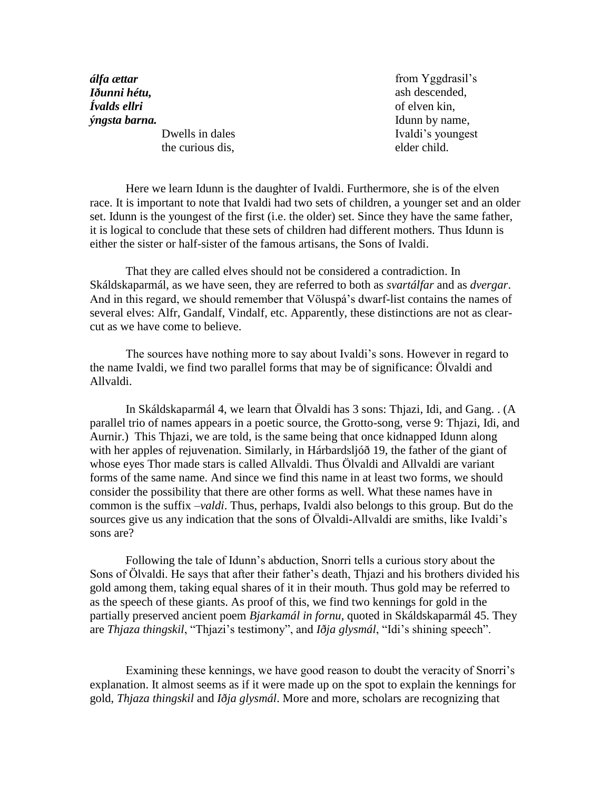*álfa ættar Iðunni hétu, Ívalds ellri ýngsta barna.*

> Dwells in dales the curious dis,

from Yggdrasil's ash descended, of elven kin, Idunn by name, Ivaldi's youngest elder child.

Here we learn Idunn is the daughter of Ivaldi. Furthermore, she is of the elven race. It is important to note that Ivaldi had two sets of children, a younger set and an older set. Idunn is the youngest of the first (i.e. the older) set. Since they have the same father, it is logical to conclude that these sets of children had different mothers. Thus Idunn is either the sister or half-sister of the famous artisans, the Sons of Ivaldi.

That they are called elves should not be considered a contradiction. In Skáldskaparmál, as we have seen, they are referred to both as *svartálfar* and as *dvergar*. And in this regard, we should remember that Völuspá's dwarf-list contains the names of several elves: Alfr, Gandalf, Vindalf, etc. Apparently, these distinctions are not as clearcut as we have come to believe.

The sources have nothing more to say about Ivaldi's sons. However in regard to the name Ivaldi, we find two parallel forms that may be of significance: Ölvaldi and Allvaldi.

In Skáldskaparmál 4, we learn that Ölvaldi has 3 sons: Thjazi, Idi, and Gang. . (A parallel trio of names appears in a poetic source, the Grotto-song, verse 9: Thjazi, Idi, and Aurnir.) This Thjazi, we are told, is the same being that once kidnapped Idunn along with her apples of rejuvenation. Similarly, in Hárbardsljóð 19, the father of the giant of whose eyes Thor made stars is called Allvaldi. Thus Ölvaldi and Allvaldi are variant forms of the same name. And since we find this name in at least two forms, we should consider the possibility that there are other forms as well. What these names have in common is the suffix –*valdi*. Thus, perhaps, Ivaldi also belongs to this group. But do the sources give us any indication that the sons of Ölvaldi-Allvaldi are smiths, like Ivaldi's sons are?

Following the tale of Idunn's abduction, Snorri tells a curious story about the Sons of Ölvaldi. He says that after their father's death, Thjazi and his brothers divided his gold among them, taking equal shares of it in their mouth. Thus gold may be referred to as the speech of these giants. As proof of this, we find two kennings for gold in the partially preserved ancient poem *Bjarkamál in fornu*, quoted in Skáldskaparmál 45. They are *Thjaza thingskil*, "Thjazi's testimony", and *Iðja glysmál*, "Idi's shining speech".

Examining these kennings, we have good reason to doubt the veracity of Snorri's explanation. It almost seems as if it were made up on the spot to explain the kennings for gold, *Thjaza thingskil* and *Iðja glysmál*. More and more, scholars are recognizing that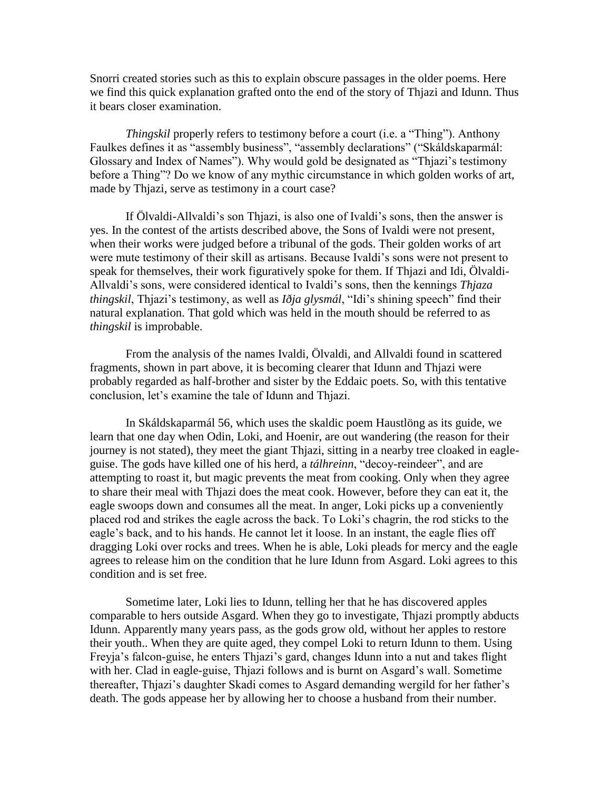Snorri created stories such as this to explain obscure passages in the older poems. Here we find this quick explanation grafted onto the end of the story of Thjazi and Idunn. Thus it bears closer examination.

*Thingskil* properly refers to testimony before a court (i.e. a "Thing"). Anthony Faulkes defines it as "assembly business", "assembly declarations" ("Skáldskaparmál: Glossary and Index of Names"). Why would gold be designated as "Thjazi's testimony before a Thing"? Do we know of any mythic circumstance in which golden works of art, made by Thjazi, serve as testimony in a court case?

If Ölvaldi-Allvaldi's son Thjazi, is also one of Ivaldi's sons, then the answer is yes. In the contest of the artists described above, the Sons of Ivaldi were not present, when their works were judged before a tribunal of the gods. Their golden works of art were mute testimony of their skill as artisans. Because Ivaldi's sons were not present to speak for themselves, their work figuratively spoke for them. If Thjazi and Idi, Ölvaldi-Allvaldi's sons, were considered identical to Ivaldi's sons, then the kennings *Thjaza thingskil*, Thjazi's testimony, as well as *Iðja glysmál*, "Idi's shining speech" find their natural explanation. That gold which was held in the mouth should be referred to as *thingskil* is improbable.

From the analysis of the names Ivaldi, Ölvaldi, and Allvaldi found in scattered fragments, shown in part above, it is becoming clearer that Idunn and Thjazi were probably regarded as half-brother and sister by the Eddaic poets. So, with this tentative conclusion, let's examine the tale of Idunn and Thjazi.

In Skáldskaparmál 56, which uses the skaldic poem Haustlöng as its guide, we learn that one day when Odin, Loki, and Hoenir, are out wandering (the reason for their journey is not stated), they meet the giant Thjazi, sitting in a nearby tree cloaked in eagleguise. The gods have killed one of his herd, a *tálhreinn*, "decoy-reindeer", and are attempting to roast it, but magic prevents the meat from cooking. Only when they agree to share their meal with Thjazi does the meat cook. However, before they can eat it, the eagle swoops down and consumes all the meat. In anger, Loki picks up a conveniently placed rod and strikes the eagle across the back. To Loki's chagrin, the rod sticks to the eagle's back, and to his hands. He cannot let it loose. In an instant, the eagle flies off dragging Loki over rocks and trees. When he is able, Loki pleads for mercy and the eagle agrees to release him on the condition that he lure Idunn from Asgard. Loki agrees to this condition and is set free.

Sometime later, Loki lies to Idunn, telling her that he has discovered apples comparable to hers outside Asgard. When they go to investigate, Thjazi promptly abducts Idunn. Apparently many years pass, as the gods grow old, without her apples to restore their youth.. When they are quite aged, they compel Loki to return Idunn to them. Using Freyja's falcon-guise, he enters Thjazi's gard, changes Idunn into a nut and takes flight with her. Clad in eagle-guise, Thjazi follows and is burnt on Asgard's wall. Sometime thereafter, Thjazi's daughter Skadi comes to Asgard demanding wergild for her father's death. The gods appease her by allowing her to choose a husband from their number.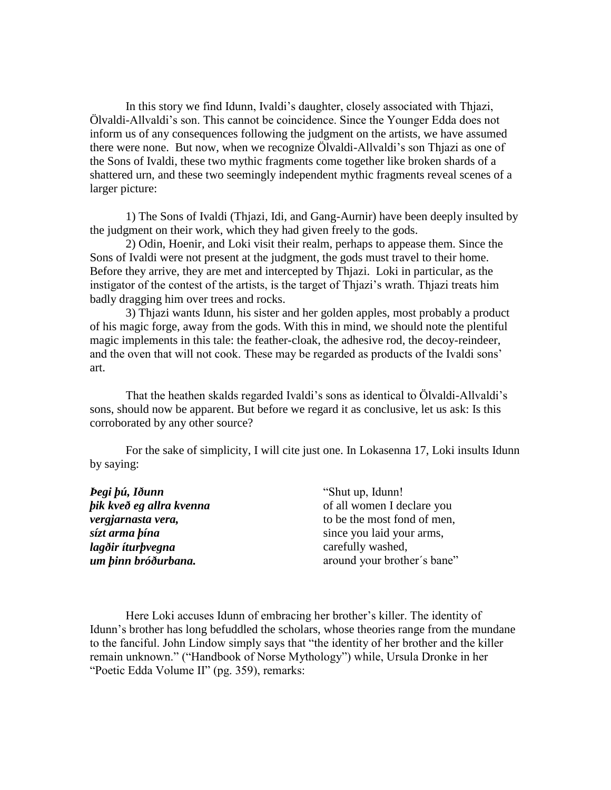In this story we find Idunn, Ivaldi's daughter, closely associated with Thjazi, Ölvaldi-Allvaldi's son. This cannot be coincidence. Since the Younger Edda does not inform us of any consequences following the judgment on the artists, we have assumed there were none. But now, when we recognize Ölvaldi-Allvaldi's son Thjazi as one of the Sons of Ivaldi, these two mythic fragments come together like broken shards of a shattered urn, and these two seemingly independent mythic fragments reveal scenes of a larger picture:

1) The Sons of Ivaldi (Thjazi, Idi, and Gang-Aurnir) have been deeply insulted by the judgment on their work, which they had given freely to the gods.

2) Odin, Hoenir, and Loki visit their realm, perhaps to appease them. Since the Sons of Ivaldi were not present at the judgment, the gods must travel to their home. Before they arrive, they are met and intercepted by Thjazi. Loki in particular, as the instigator of the contest of the artists, is the target of Thjazi's wrath. Thjazi treats him badly dragging him over trees and rocks.

3) Thjazi wants Idunn, his sister and her golden apples, most probably a product of his magic forge, away from the gods. With this in mind, we should note the plentiful magic implements in this tale: the feather-cloak, the adhesive rod, the decoy-reindeer, and the oven that will not cook. These may be regarded as products of the Ivaldi sons' art.

That the heathen skalds regarded Ivaldi's sons as identical to Ölvaldi-Allvaldi's sons, should now be apparent. But before we regard it as conclusive, let us ask: Is this corroborated by any other source?

For the sake of simplicity, I will cite just one. In Lokasenna 17, Loki insults Idunn by saying:

| Þegi þú, Iðunn           | "Shut up, Idunn!"           |
|--------------------------|-----------------------------|
| þik kveð eg allra kvenna | of all women I declare you  |
| vergjarnasta vera,       | to be the most fond of men, |
| sízt arma þína           | since you laid your arms,   |
| lagðir íturþvegna        | carefully washed,           |
| um þinn bróðurbana.      | around your brother's bane" |

Here Loki accuses Idunn of embracing her brother's killer. The identity of Idunn's brother has long befuddled the scholars, whose theories range from the mundane to the fanciful. John Lindow simply says that "the identity of her brother and the killer remain unknown." ("Handbook of Norse Mythology") while, Ursula Dronke in her "Poetic Edda Volume II" (pg. 359), remarks: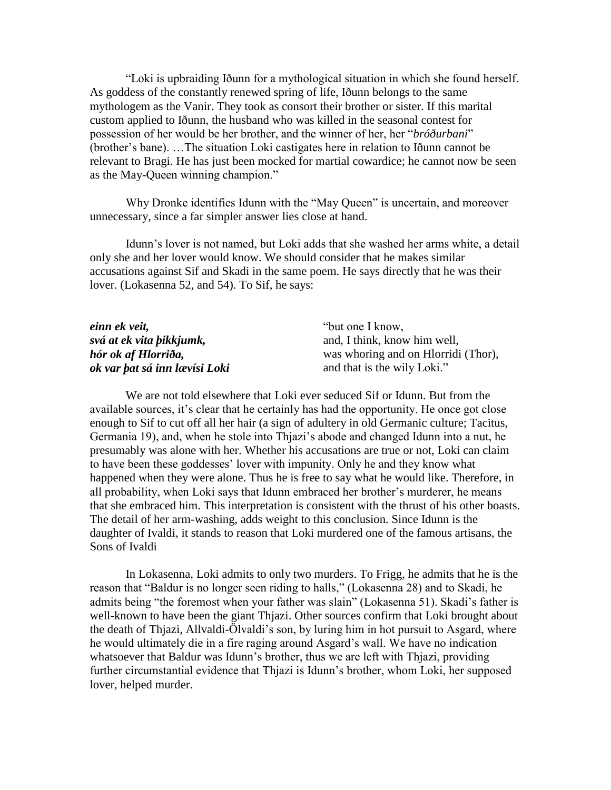―Loki is upbraiding Iðunn for a mythological situation in which she found herself. As goddess of the constantly renewed spring of life, Iðunn belongs to the same mythologem as the Vanir. They took as consort their brother or sister. If this marital custom applied to Iðunn, the husband who was killed in the seasonal contest for possession of her would be her brother, and the winner of her, her "*bróðurbani*" (brother's bane). …The situation Loki castigates here in relation to Iðunn cannot be relevant to Bragi. He has just been mocked for martial cowardice; he cannot now be seen as the May-Queen winning champion."

Why Dronke identifies Idunn with the "May Queen" is uncertain, and moreover unnecessary, since a far simpler answer lies close at hand.

Idunn's lover is not named, but Loki adds that she washed her arms white, a detail only she and her lover would know. We should consider that he makes similar accusations against Sif and Skadi in the same poem. He says directly that he was their lover. (Lokasenna 52, and 54). To Sif, he says:

| einn ek veit,                 | "but one I know,                    |
|-------------------------------|-------------------------------------|
| svá at ek vita bikkjumk,      | and, I think, know him well,        |
| hór ok af Hlorriða,           | was whoring and on Hlorridi (Thor), |
| ok var þat sá inn lævísi Loki | and that is the wily Loki."         |

We are not told elsewhere that Loki ever seduced Sif or Idunn. But from the available sources, it's clear that he certainly has had the opportunity. He once got close enough to Sif to cut off all her hair (a sign of adultery in old Germanic culture; Tacitus, Germania 19), and, when he stole into Thjazi's abode and changed Idunn into a nut, he presumably was alone with her. Whether his accusations are true or not, Loki can claim to have been these goddesses' lover with impunity. Only he and they know what happened when they were alone. Thus he is free to say what he would like. Therefore, in all probability, when Loki says that Idunn embraced her brother's murderer, he means that she embraced him. This interpretation is consistent with the thrust of his other boasts. The detail of her arm-washing, adds weight to this conclusion. Since Idunn is the daughter of Ivaldi, it stands to reason that Loki murdered one of the famous artisans, the Sons of Ivaldi

In Lokasenna, Loki admits to only two murders. To Frigg, he admits that he is the reason that "Baldur is no longer seen riding to halls," (Lokasenna 28) and to Skadi, he admits being "the foremost when your father was slain" (Lokasenna 51). Skadi's father is well-known to have been the giant Thjazi. Other sources confirm that Loki brought about the death of Thjazi, Allvaldi-Ölvaldi's son, by luring him in hot pursuit to Asgard, where he would ultimately die in a fire raging around Asgard's wall. We have no indication whatsoever that Baldur was Idunn's brother, thus we are left with Thjazi, providing further circumstantial evidence that Thjazi is Idunn's brother, whom Loki, her supposed lover, helped murder.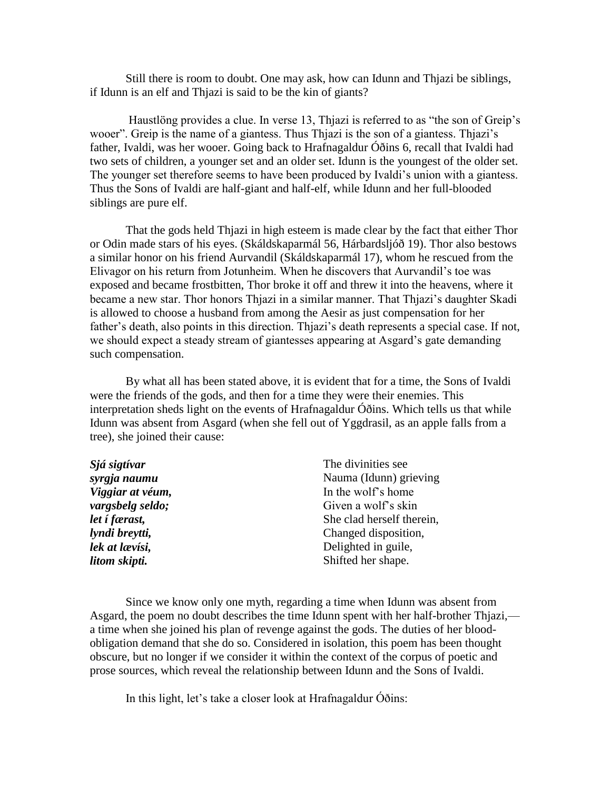Still there is room to doubt. One may ask, how can Idunn and Thjazi be siblings, if Idunn is an elf and Thjazi is said to be the kin of giants?

Haustlöng provides a clue. In verse 13, Thjazi is referred to as "the son of Greip's wooer". Greip is the name of a giantess. Thus Thjazi is the son of a giantess. Thjazi's father, Ivaldi, was her wooer. Going back to Hrafnagaldur Óðins 6, recall that Ivaldi had two sets of children, a younger set and an older set. Idunn is the youngest of the older set. The younger set therefore seems to have been produced by Ivaldi's union with a giantess. Thus the Sons of Ivaldi are half-giant and half-elf, while Idunn and her full-blooded siblings are pure elf.

That the gods held Thjazi in high esteem is made clear by the fact that either Thor or Odin made stars of his eyes. (Skáldskaparmál 56, Hárbardsljóð 19). Thor also bestows a similar honor on his friend Aurvandil (Skáldskaparmál 17), whom he rescued from the Elivagor on his return from Jotunheim. When he discovers that Aurvandil's toe was exposed and became frostbitten, Thor broke it off and threw it into the heavens, where it became a new star. Thor honors Thjazi in a similar manner. That Thjazi's daughter Skadi is allowed to choose a husband from among the Aesir as just compensation for her father's death, also points in this direction. Thjazi's death represents a special case. If not, we should expect a steady stream of giantesses appearing at Asgard's gate demanding such compensation.

By what all has been stated above, it is evident that for a time, the Sons of Ivaldi were the friends of the gods, and then for a time they were their enemies. This interpretation sheds light on the events of Hrafnagaldur Óðins. Which tells us that while Idunn was absent from Asgard (when she fell out of Yggdrasil, as an apple falls from a tree), she joined their cause:

| The divinities see        |
|---------------------------|
| Nauma (Idunn) grieving    |
| In the wolf's home        |
| Given a wolf's skin       |
| She clad herself therein, |
| Changed disposition,      |
| Delighted in guile,       |
| Shifted her shape.        |
|                           |

Since we know only one myth, regarding a time when Idunn was absent from Asgard, the poem no doubt describes the time Idunn spent with her half-brother Thjazi, a time when she joined his plan of revenge against the gods. The duties of her bloodobligation demand that she do so. Considered in isolation, this poem has been thought obscure, but no longer if we consider it within the context of the corpus of poetic and prose sources, which reveal the relationship between Idunn and the Sons of Ivaldi.

In this light, let's take a closer look at Hrafnagaldur Óðins: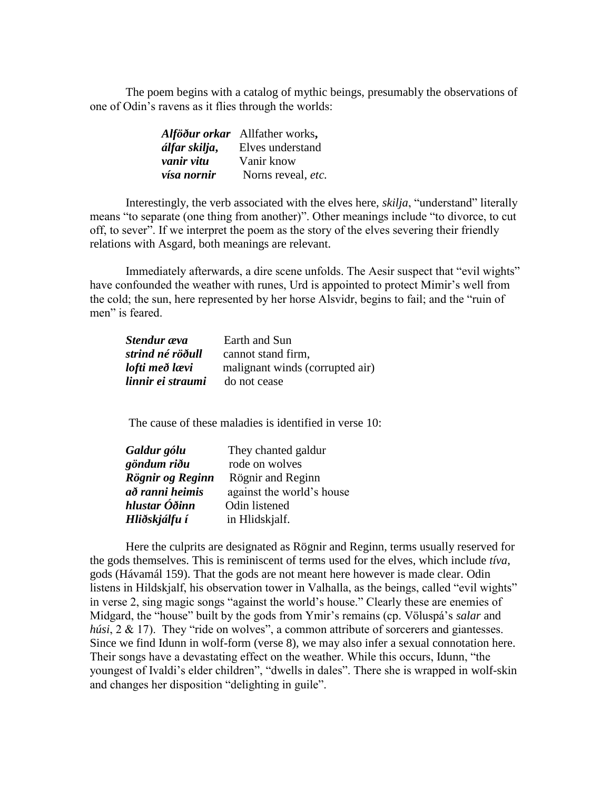The poem begins with a catalog of mythic beings, presumably the observations of one of Odin's ravens as it flies through the worlds:

|               | Alföður orkar Allfather works, |
|---------------|--------------------------------|
| álfar skilja, | Elves understand               |
| vanir vitu    | Vanir know                     |
| vísa nornir   | Norns reveal, etc.             |

Interestingly, the verb associated with the elves here, *skilja*, "understand" literally means "to separate (one thing from another)". Other meanings include "to divorce, to cut off, to sever". If we interpret the poem as the story of the elves severing their friendly relations with Asgard, both meanings are relevant.

Immediately afterwards, a dire scene unfolds. The Aesir suspect that "evil wights" have confounded the weather with runes, Urd is appointed to protect Mimir's well from the cold; the sun, here represented by her horse Alsvidr, begins to fail; and the "ruin of men" is feared.

| Stendur æva       | Earth and Sun                   |
|-------------------|---------------------------------|
| strind né röðull  | cannot stand firm,              |
| lofti með lævi    | malignant winds (corrupted air) |
| linnir ei straumi | do not cease                    |

The cause of these maladies is identified in verse 10:

| Galdur gólu      | They chanted galdur       |
|------------------|---------------------------|
| göndum riðu      | rode on wolves            |
| Rögnir og Reginn | Rögnir and Reginn         |
| að ranni heimis  | against the world's house |
| hlustar Óðinn    | Odin listened             |
| Hliðskjálfu í    | in Hlidskjalf.            |

Here the culprits are designated as Rögnir and Reginn, terms usually reserved for the gods themselves. This is reminiscent of terms used for the elves, which include *tíva*, gods (Hávamál 159). That the gods are not meant here however is made clear. Odin listens in Hildskjalf, his observation tower in Valhalla, as the beings, called "evil wights" in verse 2, sing magic songs "against the world's house." Clearly these are enemies of Midgard, the "house" built by the gods from Ymir's remains (cp. Völuspá's *salar* and *húsi*, 2 & 17). They "ride on wolves", a common attribute of sorcerers and giantesses. Since we find Idunn in wolf-form (verse 8), we may also infer a sexual connotation here. Their songs have a devastating effect on the weather. While this occurs, Idunn, "the youngest of Ivaldi's elder children", "dwells in dales". There she is wrapped in wolf-skin and changes her disposition "delighting in guile".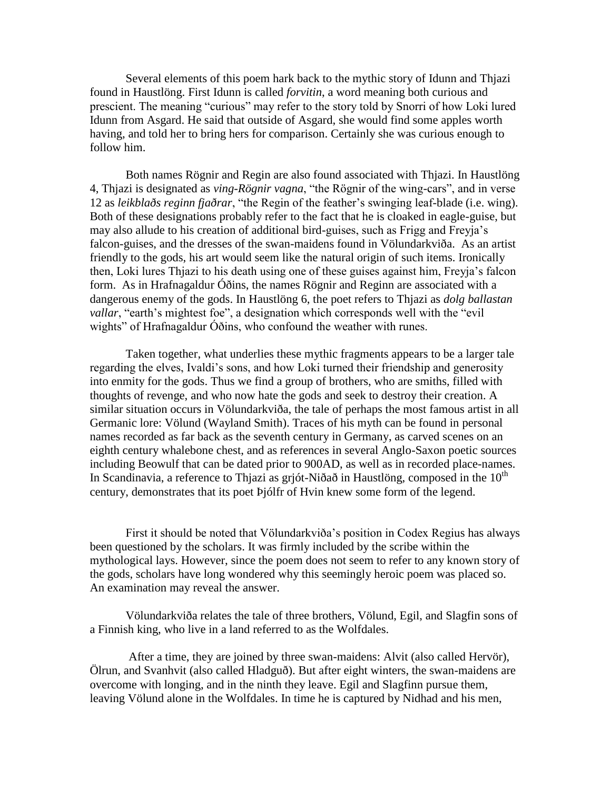Several elements of this poem hark back to the mythic story of Idunn and Thjazi found in Haustlöng. First Idunn is called *forvitin*, a word meaning both curious and prescient. The meaning "curious" may refer to the story told by Snorri of how Loki lured Idunn from Asgard. He said that outside of Asgard, she would find some apples worth having, and told her to bring hers for comparison. Certainly she was curious enough to follow him.

Both names Rögnir and Regin are also found associated with Thjazi. In Haustlöng 4, Thjazi is designated as *ving-Rögnir vagna*, "the Rögnir of the wing-cars", and in verse 12 as *leikblaðs reginn fjaðrar*, "the Regin of the feather's swinging leaf-blade (i.e. wing). Both of these designations probably refer to the fact that he is cloaked in eagle-guise, but may also allude to his creation of additional bird-guises, such as Frigg and Freyja's falcon-guises, and the dresses of the swan-maidens found in Völundarkviða. As an artist friendly to the gods, his art would seem like the natural origin of such items. Ironically then, Loki lures Thjazi to his death using one of these guises against him, Freyja's falcon form. As in Hrafnagaldur Óðins, the names Rögnir and Reginn are associated with a dangerous enemy of the gods. In Haustlöng 6, the poet refers to Thjazi as *dolg ballastan vallar*, "earth's mightest foe", a designation which corresponds well with the "evil" wights" of Hrafnagaldur Óðins, who confound the weather with runes.

Taken together, what underlies these mythic fragments appears to be a larger tale regarding the elves, Ivaldi's sons, and how Loki turned their friendship and generosity into enmity for the gods. Thus we find a group of brothers, who are smiths, filled with thoughts of revenge, and who now hate the gods and seek to destroy their creation. A similar situation occurs in Völundarkviða, the tale of perhaps the most famous artist in all Germanic lore: Völund (Wayland Smith). Traces of his myth can be found in personal names recorded as far back as the seventh century in Germany, as carved scenes on an eighth century whalebone chest, and as references in several Anglo-Saxon poetic sources including Beowulf that can be dated prior to 900AD, as well as in recorded place-names. In Scandinavia, a reference to Thjazi as grjót-Niðað in Haustlöng, composed in the  $10<sup>th</sup>$ century, demonstrates that its poet Þjólfr of Hvin knew some form of the legend.

First it should be noted that Völundarkviða's position in Codex Regius has always been questioned by the scholars. It was firmly included by the scribe within the mythological lays. However, since the poem does not seem to refer to any known story of the gods, scholars have long wondered why this seemingly heroic poem was placed so. An examination may reveal the answer.

Völundarkviða relates the tale of three brothers, Völund, Egil, and Slagfin sons of a Finnish king, who live in a land referred to as the Wolfdales.

After a time, they are joined by three swan-maidens: Alvit (also called Hervör), Ölrun, and Svanhvit (also called Hladguð). But after eight winters, the swan-maidens are overcome with longing, and in the ninth they leave. Egil and Slagfinn pursue them, leaving Völund alone in the Wolfdales. In time he is captured by Nidhad and his men,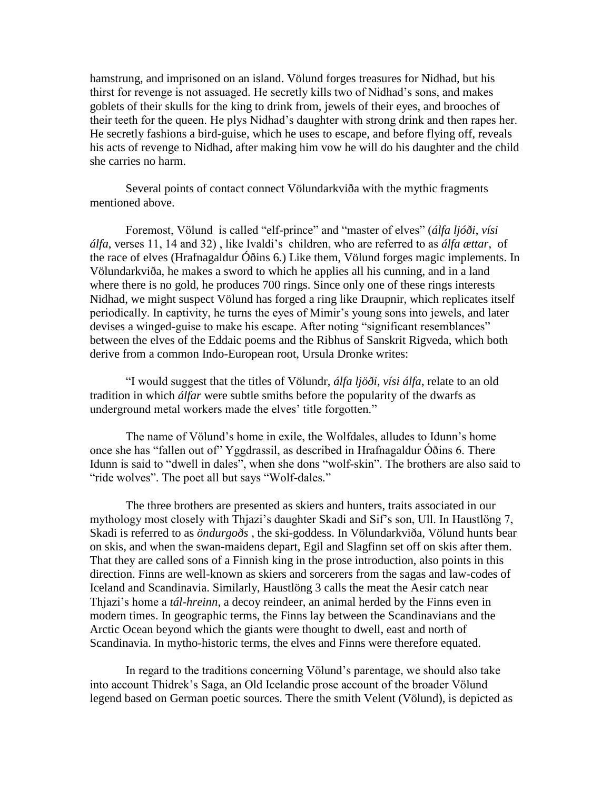hamstrung, and imprisoned on an island. Völund forges treasures for Nidhad, but his thirst for revenge is not assuaged. He secretly kills two of Nidhad's sons, and makes goblets of their skulls for the king to drink from, jewels of their eyes, and brooches of their teeth for the queen. He plys Nidhad's daughter with strong drink and then rapes her. He secretly fashions a bird-guise, which he uses to escape, and before flying off, reveals his acts of revenge to Nidhad, after making him vow he will do his daughter and the child she carries no harm.

Several points of contact connect Völundarkviða with the mythic fragments mentioned above.

Foremost, Völund is called "elf-prince" and "master of elves" (álfa ljóði, vísi *álfa*, verses 11, 14 and 32) , like Ivaldi's children, who are referred to as *álfa ættar*, of the race of elves (Hrafnagaldur Óðins 6.) Like them, Völund forges magic implements. In Völundarkviða, he makes a sword to which he applies all his cunning, and in a land where there is no gold, he produces 700 rings. Since only one of these rings interests Nidhad, we might suspect Völund has forged a ring like Draupnir, which replicates itself periodically. In captivity, he turns the eyes of Mimir's young sons into jewels, and later devises a winged-guise to make his escape. After noting "significant resemblances" between the elves of the Eddaic poems and the Ribhus of Sanskrit Rigveda, which both derive from a common Indo-European root, Ursula Dronke writes:

―I would suggest that the titles of Völundr, *álfa ljöði*, *vísi álfa*, relate to an old tradition in which *álfar* were subtle smiths before the popularity of the dwarfs as underground metal workers made the elves' title forgotten."

The name of Völund's home in exile, the Wolfdales, alludes to Idunn's home once she has "fallen out of" Yggdrassil, as described in Hrafnagaldur Óðins 6. There Idunn is said to "dwell in dales", when she dons "wolf-skin". The brothers are also said to "ride wolves". The poet all but says "Wolf-dales."

The three brothers are presented as skiers and hunters, traits associated in our mythology most closely with Thjazi's daughter Skadi and Sif's son, Ull. In Haustlöng 7, Skadi is referred to as *öndurgoðs* , the ski-goddess. In Völundarkviða, Völund hunts bear on skis, and when the swan-maidens depart, Egil and Slagfinn set off on skis after them. That they are called sons of a Finnish king in the prose introduction, also points in this direction. Finns are well-known as skiers and sorcerers from the sagas and law-codes of Iceland and Scandinavia. Similarly, Haustlöng 3 calls the meat the Aesir catch near Thjazi's home a *tál-hreinn*, a decoy reindeer, an animal herded by the Finns even in modern times. In geographic terms, the Finns lay between the Scandinavians and the Arctic Ocean beyond which the giants were thought to dwell, east and north of Scandinavia. In mytho-historic terms, the elves and Finns were therefore equated.

In regard to the traditions concerning Völund's parentage, we should also take into account Thidrek's Saga, an Old Icelandic prose account of the broader Völund legend based on German poetic sources. There the smith Velent (Völund), is depicted as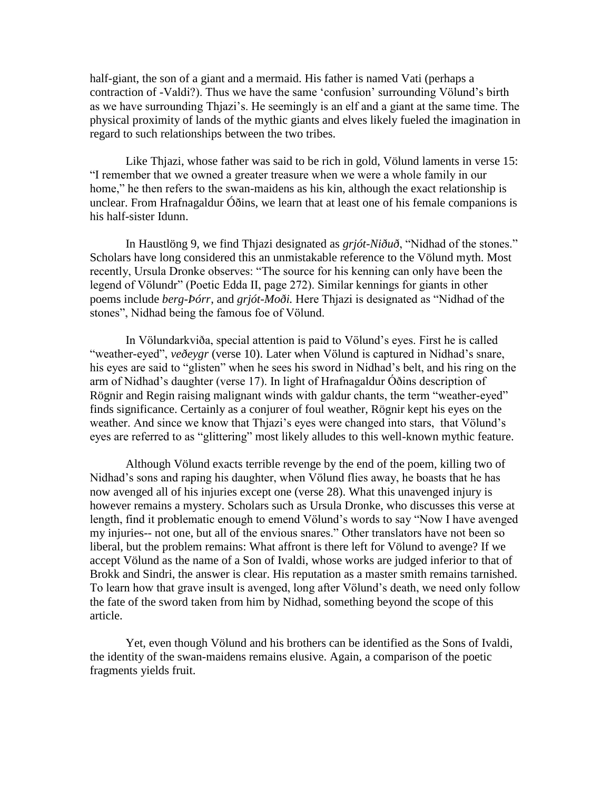half-giant, the son of a giant and a mermaid. His father is named Vati (perhaps a contraction of -Valdi?). Thus we have the same 'confusion' surrounding Völund's birth as we have surrounding Thjazi's. He seemingly is an elf and a giant at the same time. The physical proximity of lands of the mythic giants and elves likely fueled the imagination in regard to such relationships between the two tribes.

Like Thjazi, whose father was said to be rich in gold, Völund laments in verse 15: ―I remember that we owned a greater treasure when we were a whole family in our home," he then refers to the swan-maidens as his kin, although the exact relationship is unclear. From Hrafnagaldur Óðins, we learn that at least one of his female companions is his half-sister Idunn.

In Haustlöng 9, we find Thjazi designated as *grjót-Niðuð*, "Nidhad of the stones." Scholars have long considered this an unmistakable reference to the Völund myth. Most recently, Ursula Dronke observes: "The source for his kenning can only have been the legend of Völundr" (Poetic Edda II, page 272). Similar kennings for giants in other poems include *berg-Þórr*, and *grjót-Moði*. Here Thjazi is designated as "Nidhad of the stones", Nidhad being the famous foe of Völund.

In Völundarkviða, special attention is paid to Völund's eyes. First he is called "weather-eyed", *veðeygr* (verse 10). Later when Völund is captured in Nidhad's snare, his eyes are said to "glisten" when he sees his sword in Nidhad's belt, and his ring on the arm of Nidhad's daughter (verse 17). In light of Hrafnagaldur Óðins description of Rögnir and Regin raising malignant winds with galdur chants, the term "weather-eyed" finds significance. Certainly as a conjurer of foul weather, Rögnir kept his eyes on the weather. And since we know that Thjazi's eyes were changed into stars, that Völund's eyes are referred to as "glittering" most likely alludes to this well-known mythic feature.

Although Völund exacts terrible revenge by the end of the poem, killing two of Nidhad's sons and raping his daughter, when Völund flies away, he boasts that he has now avenged all of his injuries except one (verse 28). What this unavenged injury is however remains a mystery. Scholars such as Ursula Dronke, who discusses this verse at length, find it problematic enough to emend Völund's words to say "Now I have avenged my injuries-- not one, but all of the envious snares." Other translators have not been so liberal, but the problem remains: What affront is there left for Völund to avenge? If we accept Völund as the name of a Son of Ivaldi, whose works are judged inferior to that of Brokk and Sindri, the answer is clear. His reputation as a master smith remains tarnished. To learn how that grave insult is avenged, long after Völund's death, we need only follow the fate of the sword taken from him by Nidhad, something beyond the scope of this article.

Yet, even though Völund and his brothers can be identified as the Sons of Ivaldi, the identity of the swan-maidens remains elusive. Again, a comparison of the poetic fragments yields fruit.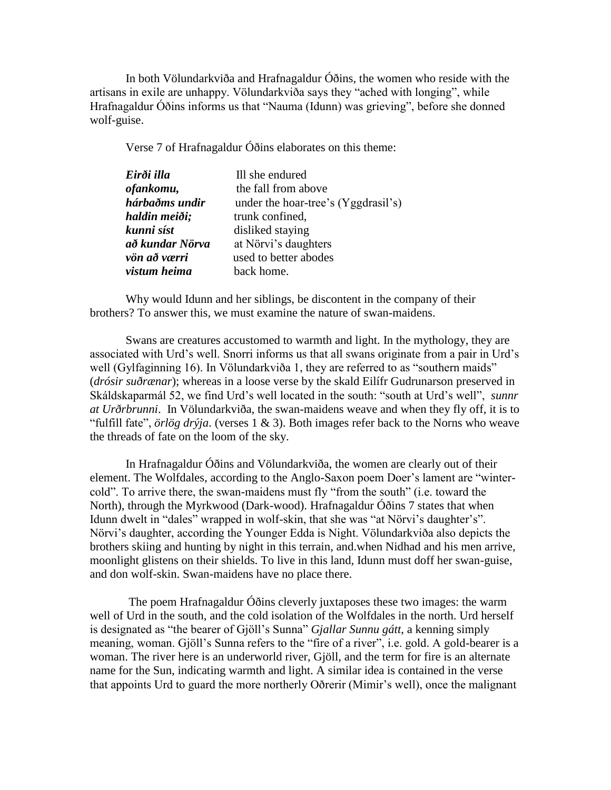In both Völundarkviða and Hrafnagaldur Óðins, the women who reside with the artisans in exile are unhappy. Völundarkviða says they "ached with longing", while Hrafnagaldur Óðins informs us that "Nauma (Idunn) was grieving", before she donned wolf-guise.

Verse 7 of Hrafnagaldur Óðins elaborates on this theme:

| Eirði illa      | Ill she endured                     |
|-----------------|-------------------------------------|
| ofankomu,       | the fall from above                 |
| hárbaðms undir  | under the hoar-tree's (Yggdrasil's) |
| haldin meiði;   | trunk confined,                     |
| kunni síst      | disliked staying                    |
| að kundar Nörva | at Nörvi's daughters                |
| vön að værri    | used to better abodes               |
| vistum heima    | back home.                          |

Why would Idunn and her siblings, be discontent in the company of their brothers? To answer this, we must examine the nature of swan-maidens.

Swans are creatures accustomed to warmth and light. In the mythology, they are associated with Urd's well. Snorri informs us that all swans originate from a pair in Urd's well (Gylfaginning 16). In Völundarkviða 1, they are referred to as "southern maids" (*drósir suðrænar*); whereas in a loose verse by the skald Eilífr Gudrunarson preserved in Skáldskaparmál 52, we find Urd's well located in the south: "south at Urd's well", *sunnr at Urðrbrunni*. In Völundarkviða, the swan-maidens weave and when they fly off, it is to "fulfill fate",  $\ddot{\sigma}$ *rlög drýja*. (verses 1 & 3). Both images refer back to the Norns who weave the threads of fate on the loom of the sky.

In Hrafnagaldur Óðins and Völundarkviða, the women are clearly out of their element. The Wolfdales, according to the Anglo-Saxon poem Doer's lament are "wintercold". To arrive there, the swan-maidens must fly "from the south" (i.e. toward the North), through the Myrkwood (Dark-wood). Hrafnagaldur Óðins 7 states that when Idunn dwelt in "dales" wrapped in wolf-skin, that she was "at Nörvi's daughter's". Nörvi's daughter, according the Younger Edda is Night. Völundarkviða also depicts the brothers skiing and hunting by night in this terrain, and.when Nidhad and his men arrive, moonlight glistens on their shields. To live in this land, Idunn must doff her swan-guise, and don wolf-skin. Swan-maidens have no place there.

The poem Hrafnagaldur Óðins cleverly juxtaposes these two images: the warm well of Urd in the south, and the cold isolation of the Wolfdales in the north. Urd herself is designated as "the bearer of Gjöll's Sunna" *Gjallar Sunnu gátt*, a kenning simply meaning, woman. Gjöll's Sunna refers to the "fire of a river", i.e. gold. A gold-bearer is a woman. The river here is an underworld river, Gjöll, and the term for fire is an alternate name for the Sun, indicating warmth and light. A similar idea is contained in the verse that appoints Urd to guard the more northerly Oðrerir (Mimir's well), once the malignant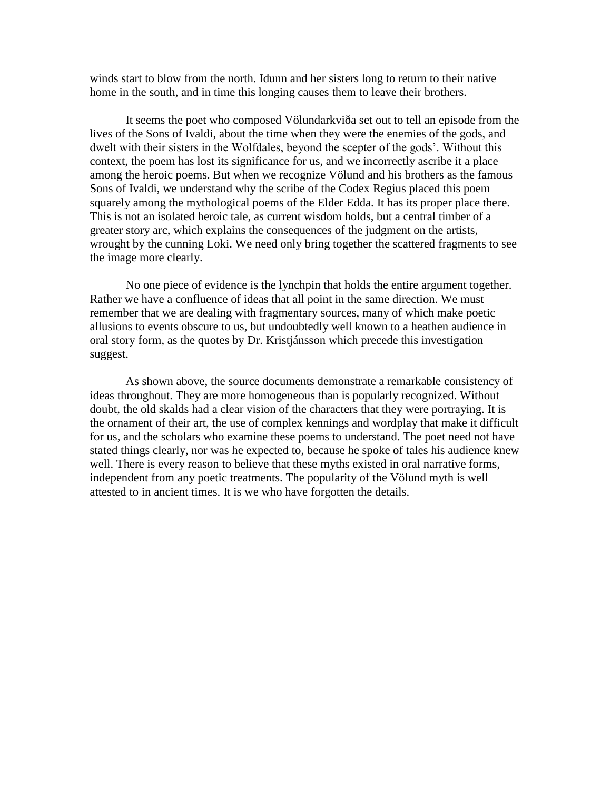winds start to blow from the north. Idunn and her sisters long to return to their native home in the south, and in time this longing causes them to leave their brothers.

It seems the poet who composed Völundarkviða set out to tell an episode from the lives of the Sons of Ivaldi, about the time when they were the enemies of the gods, and dwelt with their sisters in the Wolfdales, beyond the scepter of the gods'. Without this context, the poem has lost its significance for us, and we incorrectly ascribe it a place among the heroic poems. But when we recognize Völund and his brothers as the famous Sons of Ivaldi, we understand why the scribe of the Codex Regius placed this poem squarely among the mythological poems of the Elder Edda. It has its proper place there. This is not an isolated heroic tale, as current wisdom holds, but a central timber of a greater story arc, which explains the consequences of the judgment on the artists, wrought by the cunning Loki. We need only bring together the scattered fragments to see the image more clearly.

No one piece of evidence is the lynchpin that holds the entire argument together. Rather we have a confluence of ideas that all point in the same direction. We must remember that we are dealing with fragmentary sources, many of which make poetic allusions to events obscure to us, but undoubtedly well known to a heathen audience in oral story form, as the quotes by Dr. Kristjánsson which precede this investigation suggest.

As shown above, the source documents demonstrate a remarkable consistency of ideas throughout. They are more homogeneous than is popularly recognized. Without doubt, the old skalds had a clear vision of the characters that they were portraying. It is the ornament of their art, the use of complex kennings and wordplay that make it difficult for us, and the scholars who examine these poems to understand. The poet need not have stated things clearly, nor was he expected to, because he spoke of tales his audience knew well. There is every reason to believe that these myths existed in oral narrative forms, independent from any poetic treatments. The popularity of the Völund myth is well attested to in ancient times. It is we who have forgotten the details.